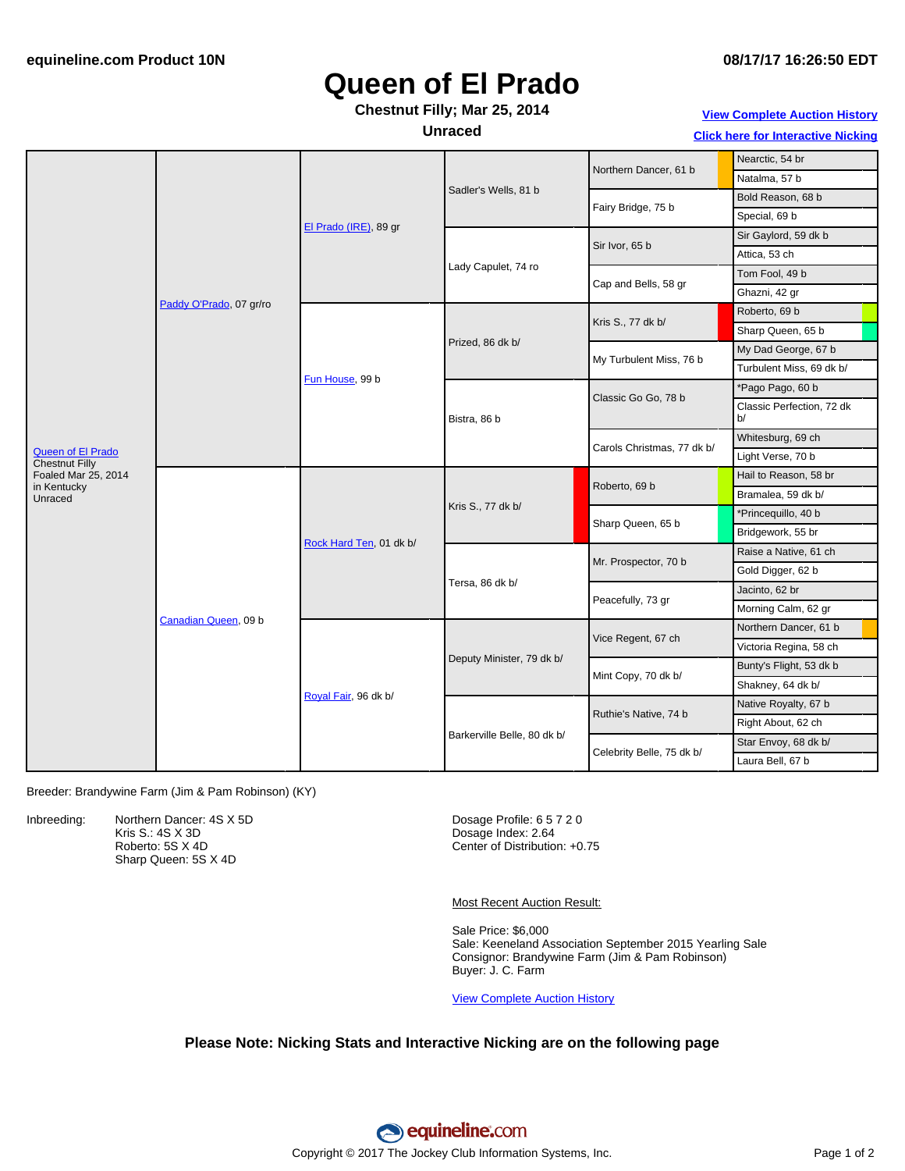# **Queen of El Prado**

### **Chestnut Filly; Mar 25, 2014**

**Unraced**

**View [Complete](http://www.equineline.com/Free-Auction-Results.cfm?upsellReferenceNumber=&upsellHorseName=&upsellBreedType=&upsellHorseType=&upsellYOB=&lookupAuctionResults=true&tempHorseType=&tempSale=ALL&tempYear=ALL&search_type=HORSE&reference_number=9701896&horse_name=Fateful&horse_type=ALL&year=ALL&sale=ALL&consignor_id=&consignor_name=&buyer_id=&buyer_name=&price_range_low=&price_range_high=&availableConsignors=&availableBuyers=&fromFree5CrossPedigree=Y) Auction History**

**Click here for [Interactive](#page-1-0) Nicking**

|                                                   | Paddy O'Prado, 07 gr/ro | El Prado (IRE), 89 gr   | Sadler's Wells, 81 b        | Northern Dancer, 61 b      | Nearctic, 54 br                 |
|---------------------------------------------------|-------------------------|-------------------------|-----------------------------|----------------------------|---------------------------------|
|                                                   |                         |                         |                             |                            | Natalma, 57 b                   |
|                                                   |                         |                         |                             | Fairy Bridge, 75 b         | Bold Reason, 68 b               |
|                                                   |                         |                         |                             |                            | Special, 69 b                   |
|                                                   |                         |                         | Lady Capulet, 74 ro         | Sir Ivor, 65 b             | Sir Gaylord, 59 dk b            |
|                                                   |                         |                         |                             |                            | Attica, 53 ch                   |
|                                                   |                         |                         |                             | Cap and Bells, 58 gr       | Tom Fool, 49 b                  |
|                                                   |                         |                         |                             |                            | Ghazni, 42 gr                   |
|                                                   |                         | Fun House, 99 b         | Prized, 86 dk b/            | Kris S., 77 dk b/          | Roberto, 69 b                   |
|                                                   |                         |                         |                             |                            | Sharp Queen, 65 b               |
|                                                   |                         |                         |                             | My Turbulent Miss, 76 b    | My Dad George, 67 b             |
|                                                   |                         |                         |                             |                            | Turbulent Miss, 69 dk b/        |
|                                                   |                         |                         | Bistra, 86 b                | Classic Go Go, 78 b        | *Pago Pago, 60 b                |
|                                                   |                         |                         |                             |                            | Classic Perfection, 72 dk<br>b/ |
|                                                   |                         |                         |                             | Carols Christmas, 77 dk b/ | Whitesburg, 69 ch               |
| <b>Queen of El Prado</b><br><b>Chestnut Filly</b> |                         |                         |                             |                            | Light Verse, 70 b               |
| Foaled Mar 25, 2014                               | Canadian Queen, 09 b    | Rock Hard Ten, 01 dk b/ | Kris S., 77 dk b/           | Roberto, 69 b              | Hail to Reason, 58 br           |
| in Kentucky<br>Unraced                            |                         |                         |                             |                            | Bramalea, 59 dk b/              |
|                                                   |                         |                         |                             | Sharp Queen, 65 b          | *Princequillo, 40 b             |
|                                                   |                         |                         |                             |                            | Bridgework, 55 br               |
|                                                   |                         |                         | Tersa, 86 dk b/             | Mr. Prospector, 70 b       | Raise a Native, 61 ch           |
|                                                   |                         |                         |                             |                            | Gold Digger, 62 b               |
|                                                   |                         |                         |                             | Peacefully, 73 gr          | Jacinto, 62 br                  |
|                                                   |                         |                         |                             |                            | Morning Calm, 62 gr             |
|                                                   |                         | Royal Fair, 96 dk b/    | Deputy Minister, 79 dk b/   | Vice Regent, 67 ch         | Northern Dancer, 61 b           |
|                                                   |                         |                         |                             |                            | Victoria Regina, 58 ch          |
|                                                   |                         |                         |                             | Mint Copy, 70 dk b/        | Bunty's Flight, 53 dk b         |
|                                                   |                         |                         |                             |                            | Shakney, 64 dk b/               |
|                                                   |                         |                         | Barkerville Belle, 80 dk b/ | Ruthie's Native, 74 b      | Native Royalty, 67 b            |
|                                                   |                         |                         |                             |                            | Right About, 62 ch              |
|                                                   |                         |                         |                             | Celebrity Belle, 75 dk b/  | Star Envoy, 68 dk b/            |
|                                                   |                         |                         |                             |                            | Laura Bell, 67 b                |

Breeder: Brandywine Farm (Jim & Pam Robinson) (KY)

Inbreeding: Northern Dancer: 4S X 5D Kris S.: 4S X 3D Roberto: 5S X 4D Sharp Queen: 5S X 4D

Dosage Profile: 6 5 7 2 0 Dosage Index: 2.64 Center of Distribution: +0.75

Most Recent Auction Result:

Sale Price: \$6,000 Sale: Keeneland Association September 2015 Yearling Sale Consignor: Brandywine Farm (Jim & Pam Robinson) Buyer: J. C. Farm

View [Complete](http://www.equineline.com/Free-Auction-Results.cfm?upsellReferenceNumber=&upsellHorseName=&upsellBreedType=&upsellHorseType=&upsellYOB=&lookupAuctionResults=true&tempHorseType=&tempSale=ALL&tempYear=ALL&search_type=HORSE&reference_number=9701896&horse_name=Fateful&horse_type=ALL&year=ALL&sale=ALL&consignor_id=&consignor_name=&buyer_id=&buyer_name=&price_range_low=&price_range_high=&availableConsignors=&availableBuyers=&fromFree5CrossPedigree=Y) Auction History

#### **Please Note: Nicking Stats and Interactive Nicking are on the following page**